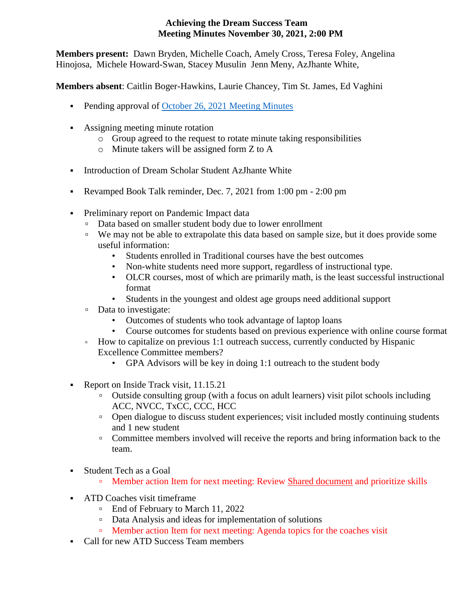## **Achieving the Dream Success Team Meeting Minutes November 30, 2021, 2:00 PM**

**Members present:** Dawn Bryden, Michelle Coach, Amely Cross, Teresa Foley, Angelina Hinojosa, Michele Howard-Swan, Stacey Musulin Jenn Meny, AzJhante White,

**Members absent**: Caitlin Boger-Hawkins, Laurie Chancey, Tim St. James, Ed Vaghini

- Pending approval of [October 26, 2021](https://ctregents-my.sharepoint.com/:w:/r/personal/01495689_acc_commnet_edu/Documents/ATD%20Campus%20Leads%20Files/Campus%20Success%20Team%20Meeting%20Minutes/ATD%20Meeting%20Minutes%2010.26.21.docx?d=wdaf99e1c87454afe802b0298c2732eeb&csf=1&web=1&e=kxvKEq) Meeting Minutes
- Assigning meeting minute rotation
	- o Group agreed to the request to rotate minute taking responsibilities
	- o Minute takers will be assigned form Z to A
- **Introduction of Dream Scholar Student AzJhante White**
- Revamped Book Talk reminder, Dec. 7, 2021 from 1:00 pm 2:00 pm
- **•** Preliminary report on Pandemic Impact data
	- Data based on smaller student body due to lower enrollment
	- We may not be able to extrapolate this data based on sample size, but it does provide some useful information:
		- Students enrolled in Traditional courses have the best outcomes
		- Non-white students need more support, regardless of instructional type.
		- OLCR courses, most of which are primarily math, is the least successful instructional format
		- Students in the youngest and oldest age groups need additional support
	- Data to investigate:
		- Outcomes of students who took advantage of laptop loans
		- Course outcomes for students based on previous experience with online course format
	- How to capitalize on previous 1:1 outreach success, currently conducted by Hispanic Excellence Committee members?
		- GPA Advisors will be key in doing 1:1 outreach to the student body
- Report on Inside Track visit, 11.15.21
	- Outside consulting group (with a focus on adult learners) visit pilot schools including ACC, NVCC, TxCC, CCC, HCC
	- Open dialogue to discuss student experiences; visit included mostly continuing students and 1 new student
	- Committee members involved will receive the reports and bring information back to the team.
- **Example 1** Student Tech as a Goal
	- Member action Item for next meeting: Review [Shared document](https://ctregents-my.sharepoint.com/:w:/g/personal/01495689_acc_commnet_edu/Ed28UC3niV5KjHSIc7WUoXcB1boCTRdKoZf4g831B0O7qg) and prioritize skills
- **EXECUTE:** ATD Coaches visit timeframe
	- End of February to March 11, 2022
	- Data Analysis and ideas for implementation of solutions
	- □ Member action Item for next meeting: Agenda topics for the coaches visit
- Call for new ATD Success Team members